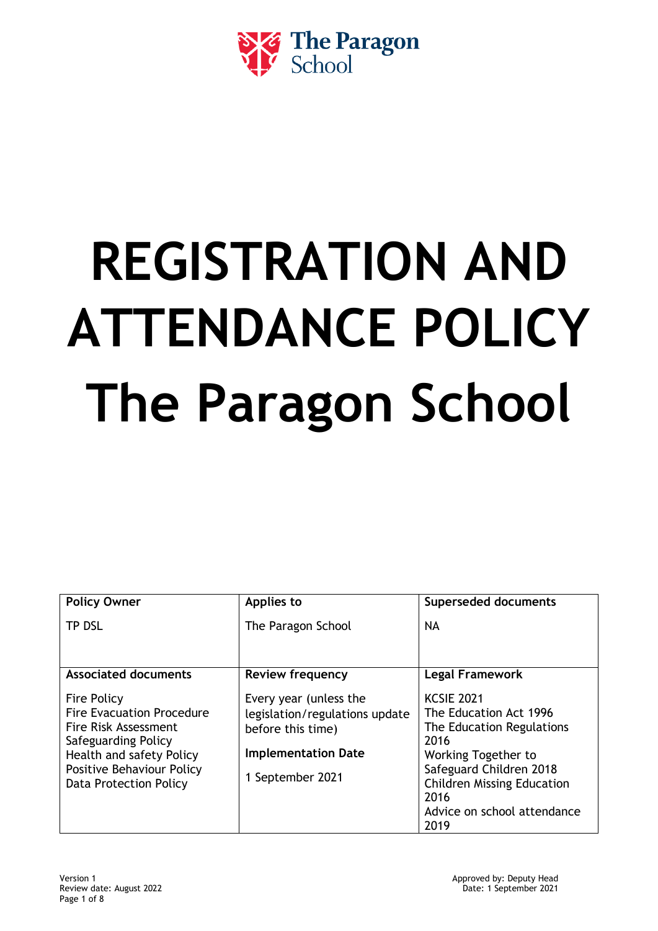

# **REGISTRATION AND ATTENDANCE POLICY The Paragon School**

| <b>Policy Owner</b>                                                                                                                                                                      | Applies to                                                                                                                      | <b>Superseded documents</b>                                                                                                                                                                                            |
|------------------------------------------------------------------------------------------------------------------------------------------------------------------------------------------|---------------------------------------------------------------------------------------------------------------------------------|------------------------------------------------------------------------------------------------------------------------------------------------------------------------------------------------------------------------|
| <b>TP DSL</b>                                                                                                                                                                            | The Paragon School                                                                                                              | <b>NA</b>                                                                                                                                                                                                              |
|                                                                                                                                                                                          |                                                                                                                                 |                                                                                                                                                                                                                        |
| <b>Associated documents</b>                                                                                                                                                              | <b>Review frequency</b>                                                                                                         | <b>Legal Framework</b>                                                                                                                                                                                                 |
| <b>Fire Policy</b><br><b>Fire Evacuation Procedure</b><br>Fire Risk Assessment<br>Safeguarding Policy<br>Health and safety Policy<br>Positive Behaviour Policy<br>Data Protection Policy | Every year (unless the<br>legislation/regulations update<br>before this time)<br><b>Implementation Date</b><br>1 September 2021 | <b>KCSIE 2021</b><br>The Education Act 1996<br>The Education Regulations<br>2016<br>Working Together to<br>Safeguard Children 2018<br><b>Children Missing Education</b><br>2016<br>Advice on school attendance<br>2019 |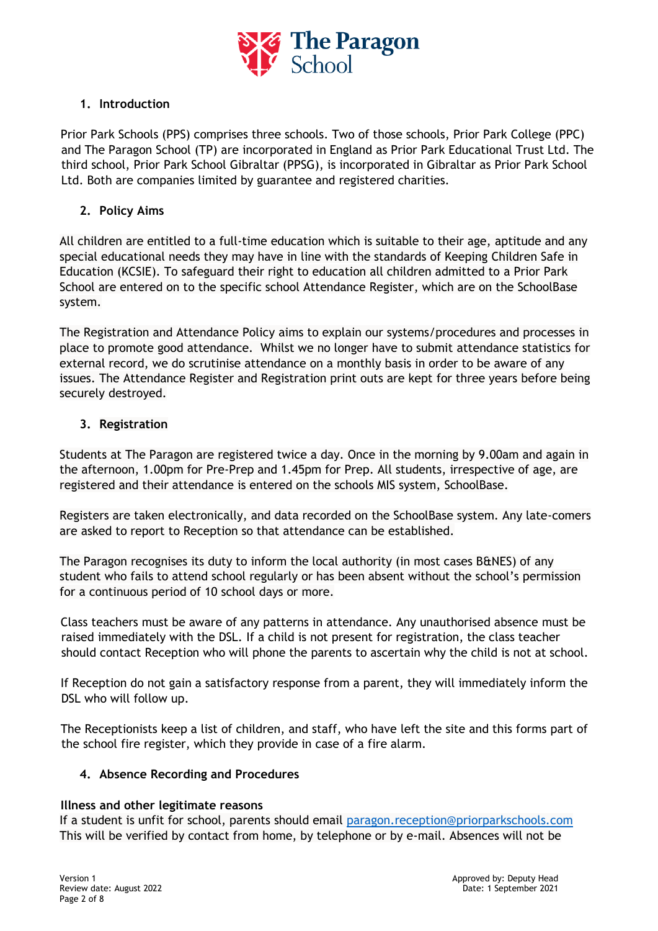

# **1. Introduction**

Prior Park Schools (PPS) comprises three schools. Two of those schools, Prior Park College (PPC) and The Paragon School (TP) are incorporated in England as Prior Park Educational Trust Ltd. The third school, Prior Park School Gibraltar (PPSG), is incorporated in Gibraltar as Prior Park School Ltd. Both are companies limited by guarantee and registered charities.

# **2. Policy Aims**

All children are entitled to a full-time education which is suitable to their age, aptitude and any special educational needs they may have in line with the standards of Keeping Children Safe in Education (KCSIE). To safeguard their right to education all children admitted to a Prior Park School are entered on to the specific school Attendance Register, which are on the SchoolBase system.

The Registration and Attendance Policy aims to explain our systems/procedures and processes in place to promote good attendance. Whilst we no longer have to submit attendance statistics for external record, we do scrutinise attendance on a monthly basis in order to be aware of any issues. The Attendance Register and Registration print outs are kept for three years before being securely destroyed.

# **3. Registration**

Students at The Paragon are registered twice a day. Once in the morning by 9.00am and again in the afternoon, 1.00pm for Pre-Prep and 1.45pm for Prep. All students, irrespective of age, are registered and their attendance is entered on the schools MIS system, SchoolBase.

Registers are taken electronically, and data recorded on the SchoolBase system. Any late-comers are asked to report to Reception so that attendance can be established.

The Paragon recognises its duty to inform the local authority (in most cases B&NES) of any student who fails to attend school regularly or has been absent without the school's permission for a continuous period of 10 school days or more.

Class teachers must be aware of any patterns in attendance. Any unauthorised absence must be raised immediately with the DSL. If a child is not present for registration, the class teacher should contact Reception who will phone the parents to ascertain why the child is not at school.

If Reception do not gain a satisfactory response from a parent, they will immediately inform the DSL who will follow up.

The Receptionists keep a list of children, and staff, who have left the site and this forms part of the school fire register, which they provide in case of a fire alarm.

# **4. Absence Recording and Procedures**

## **Illness and other legitimate reasons**

If a student is unfit for school, parents should email [paragon.reception@priorparkschools.com](mailto:paragon.reception@priorparkschools.com) This will be verified by contact from home, by telephone or by e-mail. Absences will not be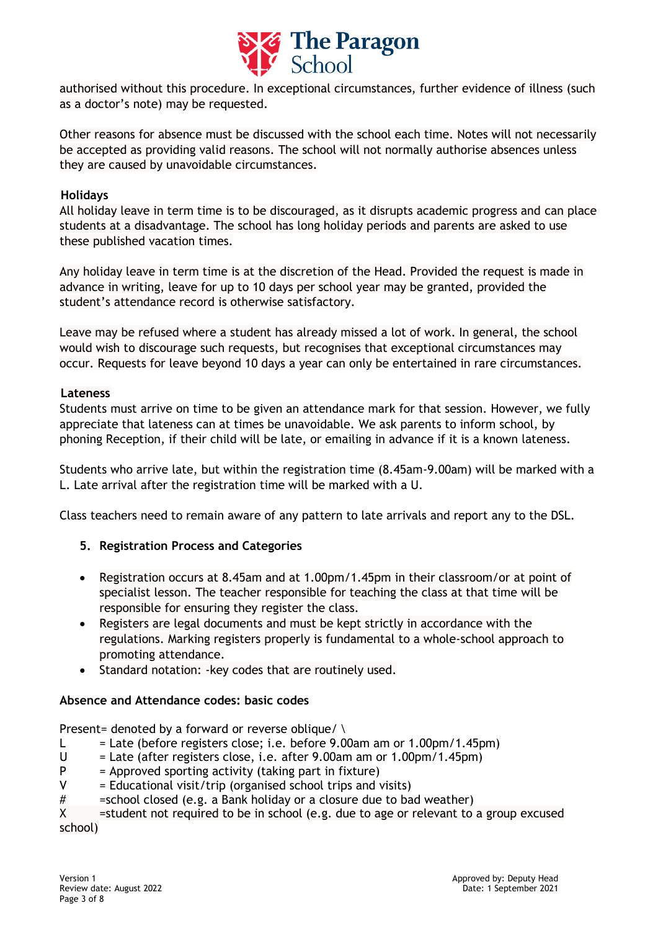

authorised without this procedure. In exceptional circumstances, further evidence of illness (such as a doctor's note) may be requested.

Other reasons for absence must be discussed with the school each time. Notes will not necessarily be accepted as providing valid reasons. The school will not normally authorise absences unless they are caused by unavoidable circumstances.

## **Holidays**

All holiday leave in term time is to be discouraged, as it disrupts academic progress and can place students at a disadvantage. The school has long holiday periods and parents are asked to use these published vacation times.

Any holiday leave in term time is at the discretion of the Head. Provided the request is made in advance in writing, leave for up to 10 days per school year may be granted, provided the student's attendance record is otherwise satisfactory.

Leave may be refused where a student has already missed a lot of work. In general, the school would wish to discourage such requests, but recognises that exceptional circumstances may occur. Requests for leave beyond 10 days a year can only be entertained in rare circumstances.

#### **Lateness**

Students must arrive on time to be given an attendance mark for that session. However, we fully appreciate that lateness can at times be unavoidable. We ask parents to inform school, by phoning Reception, if their child will be late, or emailing in advance if it is a known lateness.

Students who arrive late, but within the registration time (8.45am-9.00am) will be marked with a L. Late arrival after the registration time will be marked with a U.

Class teachers need to remain aware of any pattern to late arrivals and report any to the DSL.

## **5. Registration Process and Categories**

- Registration occurs at 8.45am and at 1.00pm/1.45pm in their classroom/or at point of specialist lesson. The teacher responsible for teaching the class at that time will be responsible for ensuring they register the class.
- Registers are legal documents and must be kept strictly in accordance with the regulations. Marking registers properly is fundamental to a whole-school approach to promoting attendance.
- Standard notation: -key codes that are routinely used.

# **Absence and Attendance codes: basic codes**

Present= denoted by a forward or reverse oblique/  $\setminus$ 

- L  $=$  Late (before registers close; i.e. before 9.00am am or 1.00pm/1.45pm)
- $U =$  Late (after registers close, i.e. after 9.00am am or 1.00pm/1.45pm)
- $P =$  Approved sporting activity (taking part in fixture)
- $V =$  Educational visit/trip (organised school trips and visits)
- # =school closed (e.g. a Bank holiday or a closure due to bad weather)

X = student not required to be in school (e.g. due to age or relevant to a group excused school)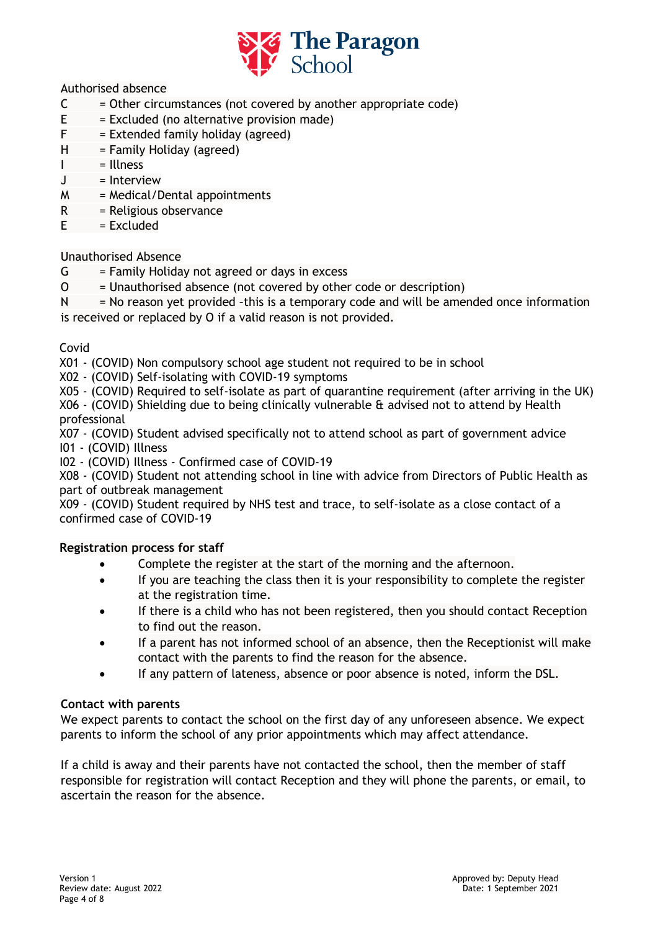

Authorised absence

- $C =$  Other circumstances (not covered by another appropriate code)
- $E = Excluded (no alternative provision made)$
- $F =$  Extended family holiday (agreed)
- $H = F$ amily Holiday (agreed)
- $I = Ilness$
- J = Interview
- $M = Medical/Dental$  appointments
- R = Religious observance
- $E = Excluded$

# Unauthorised Absence

- $G = F$ amily Holiday not agreed or days in excess
- $O =$  Unauthorised absence (not covered by other code or description)

 $N = No$  reason yet provided -this is a temporary code and will be amended once information is received or replaced by O if a valid reason is not provided.

## Covid

X01 - (COVID) Non compulsory school age student not required to be in school

- X02 (COVID) Self-isolating with COVID-19 symptoms
- X05 (COVID) Required to self-isolate as part of quarantine requirement (after arriving in the UK)

X06 - (COVID) Shielding due to being clinically vulnerable & advised not to attend by Health professional

X07 - (COVID) Student advised specifically not to attend school as part of government advice I01 - (COVID) Illness

I02 - (COVID) Illness - Confirmed case of COVID-19

X08 - (COVID) Student not attending school in line with advice from Directors of Public Health as part of outbreak management

X09 - (COVID) Student required by NHS test and trace, to self-isolate as a close contact of a confirmed case of COVID-19

## **Registration process for staff**

- Complete the register at the start of the morning and the afternoon.
- If you are teaching the class then it is your responsibility to complete the register at the registration time.
- If there is a child who has not been registered, then you should contact Reception to find out the reason.
- If a parent has not informed school of an absence, then the Receptionist will make contact with the parents to find the reason for the absence.
- If any pattern of lateness, absence or poor absence is noted, inform the DSL.

## **Contact with parents**

We expect parents to contact the school on the first day of any unforeseen absence. We expect parents to inform the school of any prior appointments which may affect attendance.

If a child is away and their parents have not contacted the school, then the member of staff responsible for registration will contact Reception and they will phone the parents, or email, to ascertain the reason for the absence.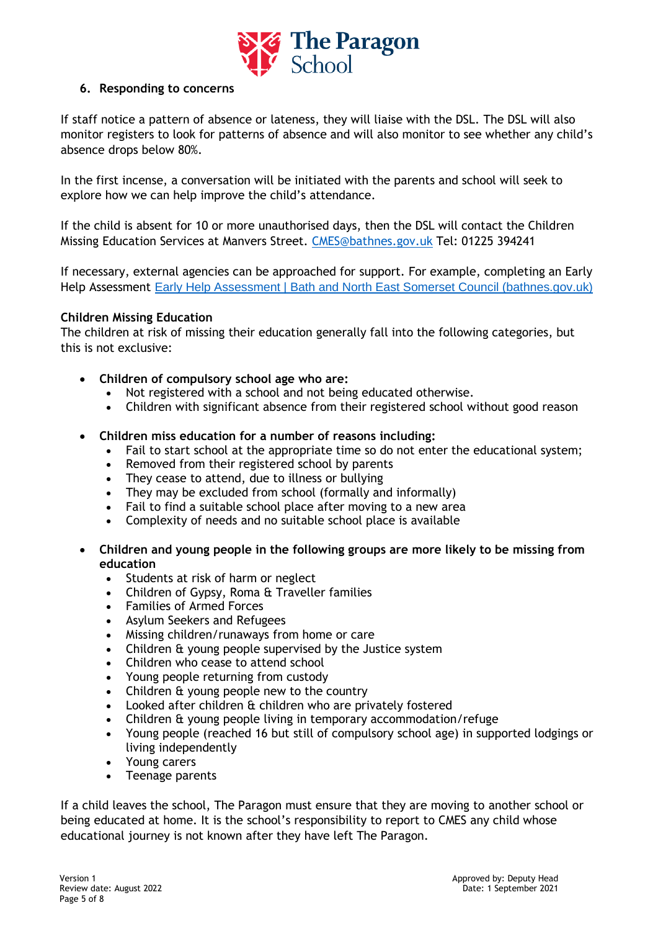

# **6. Responding to concerns**

If staff notice a pattern of absence or lateness, they will liaise with the DSL. The DSL will also monitor registers to look for patterns of absence and will also monitor to see whether any child's absence drops below 80%.

In the first incense, a conversation will be initiated with the parents and school will seek to explore how we can help improve the child's attendance.

If the child is absent for 10 or more unauthorised days, then the DSL will contact the Children Missing Education Services at Manvers Street. [CMES@bathnes.gov.uk](mailto:CMES@bathnes.gov.uk) Tel: 01225 394241

If necessary, external agencies can be approached for support. For example, completing an Early Help Assessment [Early Help Assessment | Bath and North East Somerset Council \(bathnes.gov.uk\)](https://beta.bathnes.gov.uk/early-help-assessment)

## **Children Missing Education**

The children at risk of missing their education generally fall into the following categories, but this is not exclusive:

- **Children of compulsory school age who are:**
	- Not registered with a school and not being educated otherwise.
	- Children with significant absence from their registered school without good reason
- **Children miss education for a number of reasons including:**
	- Fail to start school at the appropriate time so do not enter the educational system;
	- Removed from their registered school by parents
	- They cease to attend, due to illness or bullying
	- They may be excluded from school (formally and informally)
	- Fail to find a suitable school place after moving to a new area
	- Complexity of needs and no suitable school place is available
- **Children and young people in the following groups are more likely to be missing from education**
	- Students at risk of harm or neglect
	- Children of Gypsy, Roma & Traveller families
	- Families of Armed Forces
	- Asylum Seekers and Refugees
	- Missing children/runaways from home or care
	- Children & young people supervised by the Justice system
	- Children who cease to attend school
	- Young people returning from custody
	- Children & young people new to the country
	- Looked after children & children who are privately fostered
	- Children & young people living in temporary accommodation/refuge
	- Young people (reached 16 but still of compulsory school age) in supported lodgings or living independently
	- Young carers
	- Teenage parents

If a child leaves the school, The Paragon must ensure that they are moving to another school or being educated at home. It is the school's responsibility to report to CMES any child whose educational journey is not known after they have left The Paragon.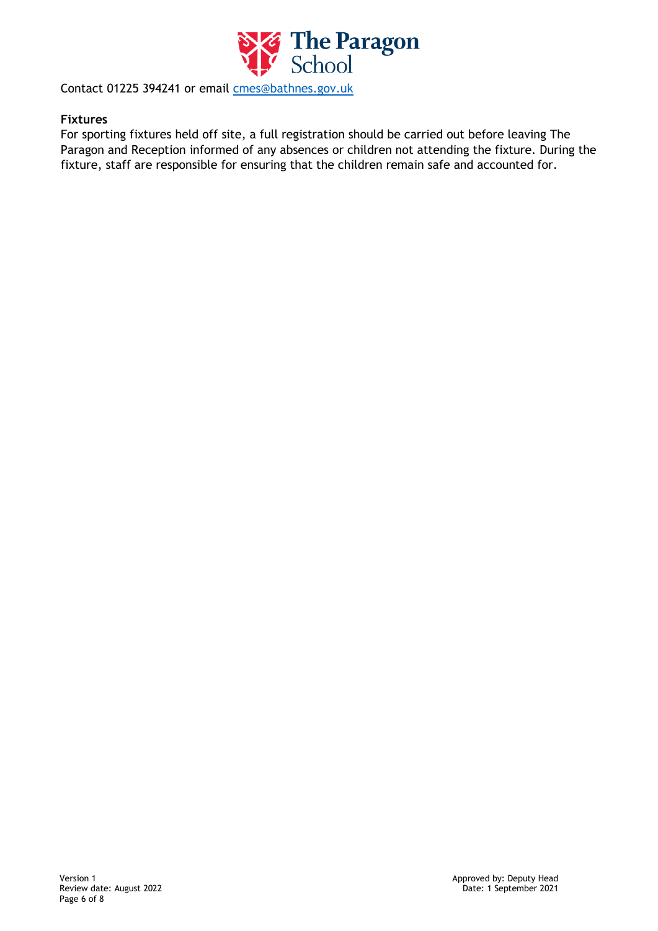

Contact 01225 394241 or email [cmes@bathnes.gov.uk](mailto:cmes@bathnes.gov.uk)

#### **Fixtures**

For sporting fixtures held off site, a full registration should be carried out before leaving The Paragon and Reception informed of any absences or children not attending the fixture. During the fixture, staff are responsible for ensuring that the children remain safe and accounted for.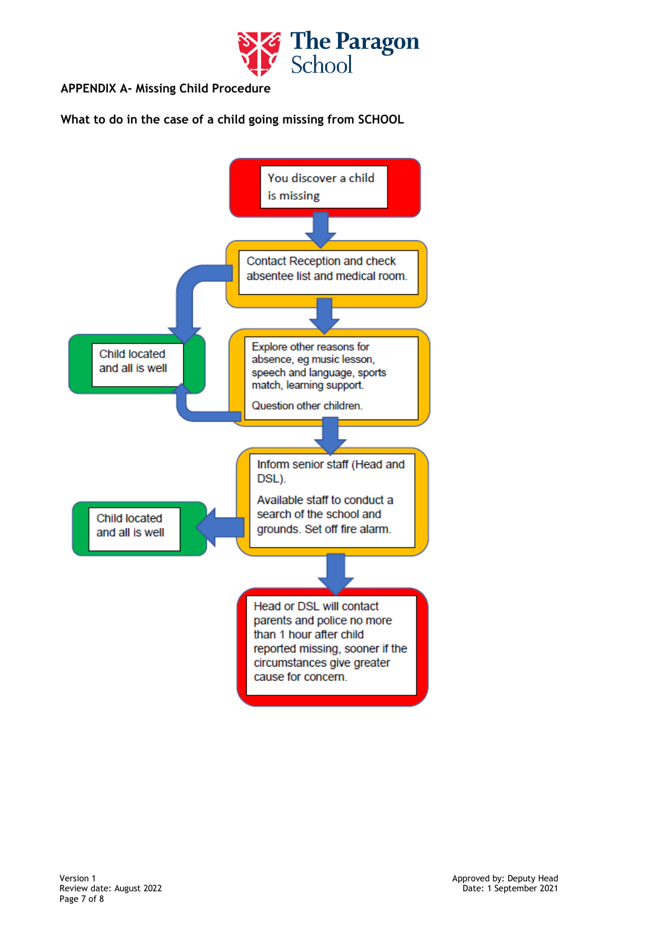

# **APPENDIX A- Missing Child Procedure**

**What to do in the case of a child going missing from SCHOOL**